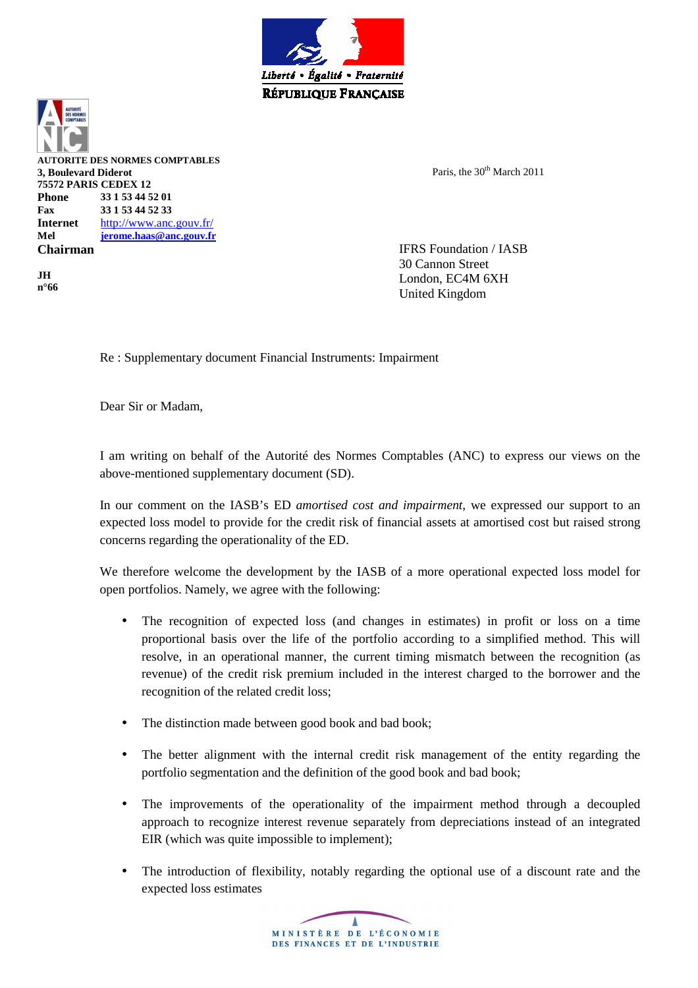

**AUTORITE DES NORMES COMPTABLES 3, Boulevard Diderot 75572 PARIS CEDEX 12 Phone 33 1 53 44 52 01 Fax 33 1 53 44 52 33 Internet** http://www.anc.gouv.fr/ **Mel jerome.haas@anc.gouv.fr Chairman** 

**JH n°66**  Paris, the 30<sup>th</sup> March 2011

IFRS Foundation / IASB 30 Cannon Street London, EC4M 6XH United Kingdom

Re : Supplementary document Financial Instruments: Impairment

Dear Sir or Madam,

I am writing on behalf of the Autorité des Normes Comptables (ANC) to express our views on the above-mentioned supplementary document (SD).

In our comment on the IASB's ED *amortised cost and impairment*, we expressed our support to an expected loss model to provide for the credit risk of financial assets at amortised cost but raised strong concerns regarding the operationality of the ED.

We therefore welcome the development by the IASB of a more operational expected loss model for open portfolios. Namely, we agree with the following:

- The recognition of expected loss (and changes in estimates) in profit or loss on a time proportional basis over the life of the portfolio according to a simplified method. This will resolve, in an operational manner, the current timing mismatch between the recognition (as revenue) of the credit risk premium included in the interest charged to the borrower and the recognition of the related credit loss;
- The distinction made between good book and bad book;
- The better alignment with the internal credit risk management of the entity regarding the portfolio segmentation and the definition of the good book and bad book;
- The improvements of the operationality of the impairment method through a decoupled approach to recognize interest revenue separately from depreciations instead of an integrated EIR (which was quite impossible to implement);
- The introduction of flexibility, notably regarding the optional use of a discount rate and the expected loss estimates

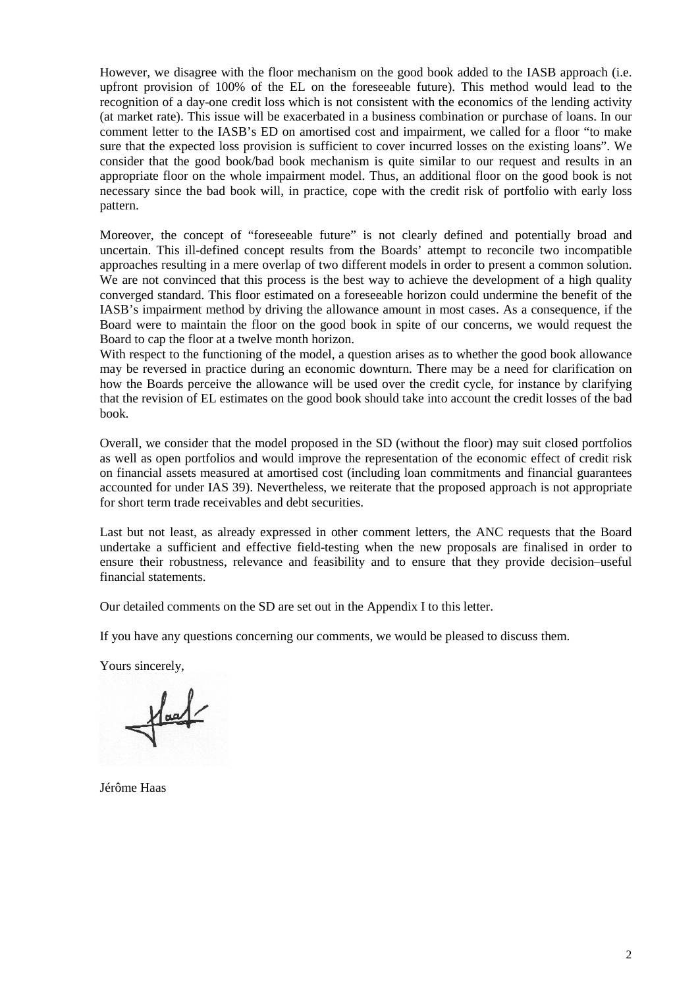However, we disagree with the floor mechanism on the good book added to the IASB approach (i.e. upfront provision of 100% of the EL on the foreseeable future). This method would lead to the recognition of a day-one credit loss which is not consistent with the economics of the lending activity (at market rate). This issue will be exacerbated in a business combination or purchase of loans. In our comment letter to the IASB's ED on amortised cost and impairment, we called for a floor "to make sure that the expected loss provision is sufficient to cover incurred losses on the existing loans". We consider that the good book/bad book mechanism is quite similar to our request and results in an appropriate floor on the whole impairment model. Thus, an additional floor on the good book is not necessary since the bad book will, in practice, cope with the credit risk of portfolio with early loss pattern.

Moreover, the concept of "foreseeable future" is not clearly defined and potentially broad and uncertain. This ill-defined concept results from the Boards' attempt to reconcile two incompatible approaches resulting in a mere overlap of two different models in order to present a common solution. We are not convinced that this process is the best way to achieve the development of a high quality converged standard. This floor estimated on a foreseeable horizon could undermine the benefit of the IASB's impairment method by driving the allowance amount in most cases. As a consequence, if the Board were to maintain the floor on the good book in spite of our concerns, we would request the Board to cap the floor at a twelve month horizon.

With respect to the functioning of the model, a question arises as to whether the good book allowance may be reversed in practice during an economic downturn. There may be a need for clarification on how the Boards perceive the allowance will be used over the credit cycle, for instance by clarifying that the revision of EL estimates on the good book should take into account the credit losses of the bad book.

Overall, we consider that the model proposed in the SD (without the floor) may suit closed portfolios as well as open portfolios and would improve the representation of the economic effect of credit risk on financial assets measured at amortised cost (including loan commitments and financial guarantees accounted for under IAS 39). Nevertheless, we reiterate that the proposed approach is not appropriate for short term trade receivables and debt securities.

Last but not least, as already expressed in other comment letters, the ANC requests that the Board undertake a sufficient and effective field-testing when the new proposals are finalised in order to ensure their robustness, relevance and feasibility and to ensure that they provide decision–useful financial statements.

Our detailed comments on the SD are set out in the Appendix I to this letter.

If you have any questions concerning our comments, we would be pleased to discuss them.

Yours sincerely,

 $\frac{1}{\sqrt{2}}$ 

Jérôme Haas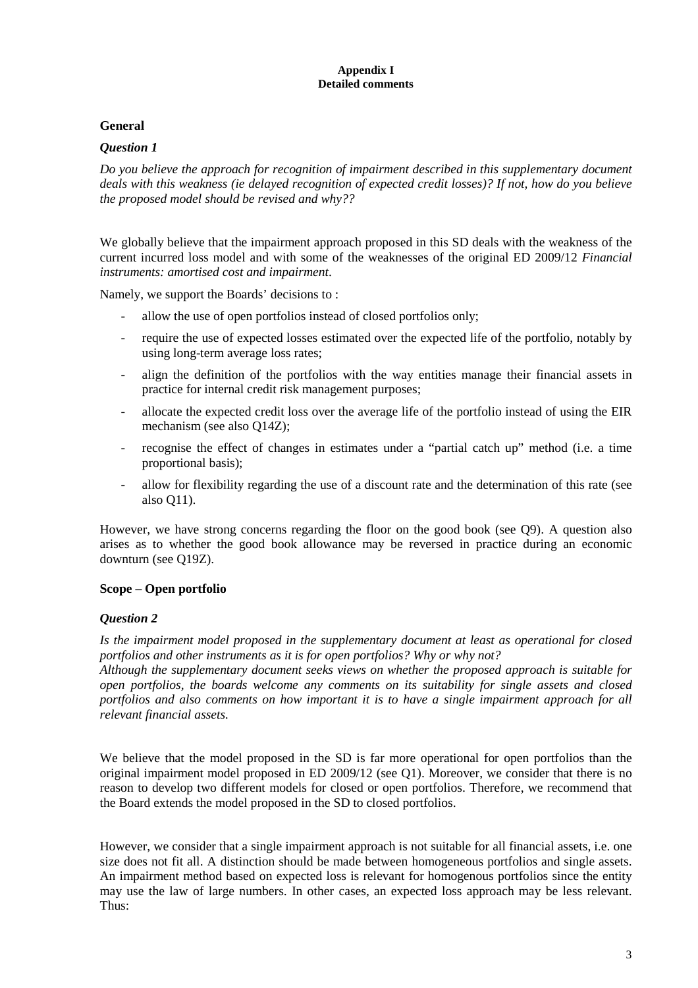#### **Appendix I Detailed comments**

## **General**

## *Question 1*

*Do you believe the approach for recognition of impairment described in this supplementary document deals with this weakness (ie delayed recognition of expected credit losses)? If not, how do you believe the proposed model should be revised and why??* 

We globally believe that the impairment approach proposed in this SD deals with the weakness of the current incurred loss model and with some of the weaknesses of the original ED 2009/12 *Financial instruments: amortised cost and impairment*.

Namely, we support the Boards' decisions to :

- allow the use of open portfolios instead of closed portfolios only;
- require the use of expected losses estimated over the expected life of the portfolio, notably by using long-term average loss rates;
- align the definition of the portfolios with the way entities manage their financial assets in practice for internal credit risk management purposes;
- allocate the expected credit loss over the average life of the portfolio instead of using the EIR mechanism (see also Q14Z);
- recognise the effect of changes in estimates under a "partial catch up" method (i.e. a time proportional basis);
- allow for flexibility regarding the use of a discount rate and the determination of this rate (see also Q11).

However, we have strong concerns regarding the floor on the good book (see Q9). A question also arises as to whether the good book allowance may be reversed in practice during an economic downturn (see Q19Z).

### **Scope – Open portfolio**

### *Question 2*

*Is the impairment model proposed in the supplementary document at least as operational for closed portfolios and other instruments as it is for open portfolios? Why or why not?* 

*Although the supplementary document seeks views on whether the proposed approach is suitable for open portfolios, the boards welcome any comments on its suitability for single assets and closed portfolios and also comments on how important it is to have a single impairment approach for all relevant financial assets.* 

We believe that the model proposed in the SD is far more operational for open portfolios than the original impairment model proposed in ED 2009/12 (see Q1). Moreover, we consider that there is no reason to develop two different models for closed or open portfolios. Therefore, we recommend that the Board extends the model proposed in the SD to closed portfolios.

However, we consider that a single impairment approach is not suitable for all financial assets, i.e. one size does not fit all. A distinction should be made between homogeneous portfolios and single assets. An impairment method based on expected loss is relevant for homogenous portfolios since the entity may use the law of large numbers. In other cases, an expected loss approach may be less relevant. Thus: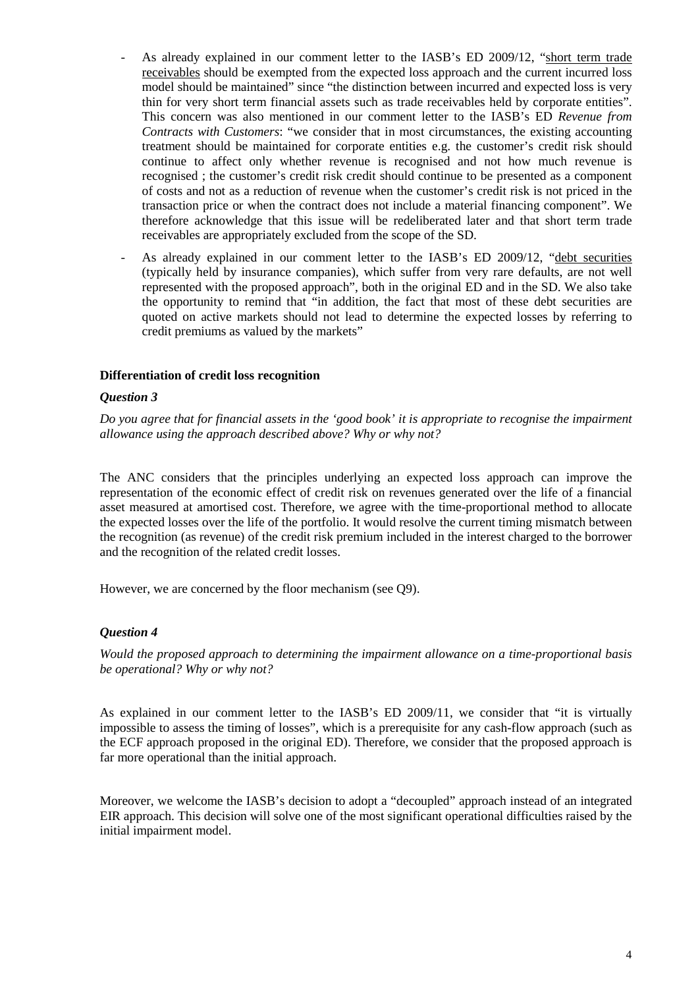- As already explained in our comment letter to the IASB's ED 2009/12, "short term trade receivables should be exempted from the expected loss approach and the current incurred loss model should be maintained" since "the distinction between incurred and expected loss is very thin for very short term financial assets such as trade receivables held by corporate entities". This concern was also mentioned in our comment letter to the IASB's ED *Revenue from Contracts with Customers*: "we consider that in most circumstances, the existing accounting treatment should be maintained for corporate entities e.g. the customer's credit risk should continue to affect only whether revenue is recognised and not how much revenue is recognised ; the customer's credit risk credit should continue to be presented as a component of costs and not as a reduction of revenue when the customer's credit risk is not priced in the transaction price or when the contract does not include a material financing component". We therefore acknowledge that this issue will be redeliberated later and that short term trade receivables are appropriately excluded from the scope of the SD.
- As already explained in our comment letter to the IASB's ED 2009/12, "debt securities (typically held by insurance companies), which suffer from very rare defaults, are not well represented with the proposed approach", both in the original ED and in the SD. We also take the opportunity to remind that "in addition, the fact that most of these debt securities are quoted on active markets should not lead to determine the expected losses by referring to credit premiums as valued by the markets"

### **Differentiation of credit loss recognition**

### *Question 3*

*Do you agree that for financial assets in the 'good book' it is appropriate to recognise the impairment allowance using the approach described above? Why or why not?* 

The ANC considers that the principles underlying an expected loss approach can improve the representation of the economic effect of credit risk on revenues generated over the life of a financial asset measured at amortised cost. Therefore, we agree with the time-proportional method to allocate the expected losses over the life of the portfolio. It would resolve the current timing mismatch between the recognition (as revenue) of the credit risk premium included in the interest charged to the borrower and the recognition of the related credit losses.

However, we are concerned by the floor mechanism (see Q9).

### *Question 4*

*Would the proposed approach to determining the impairment allowance on a time-proportional basis be operational? Why or why not?* 

As explained in our comment letter to the IASB's ED 2009/11, we consider that "it is virtually impossible to assess the timing of losses", which is a prerequisite for any cash-flow approach (such as the ECF approach proposed in the original ED). Therefore, we consider that the proposed approach is far more operational than the initial approach.

Moreover, we welcome the IASB's decision to adopt a "decoupled" approach instead of an integrated EIR approach. This decision will solve one of the most significant operational difficulties raised by the initial impairment model.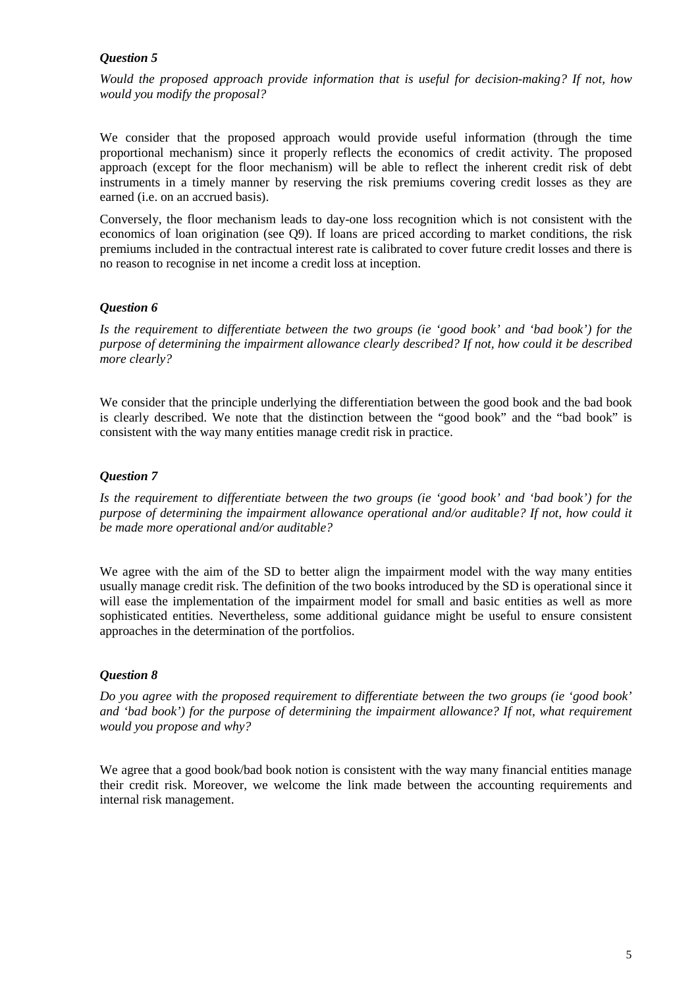## *Question 5*

*Would the proposed approach provide information that is useful for decision-making? If not, how would you modify the proposal?* 

We consider that the proposed approach would provide useful information (through the time proportional mechanism) since it properly reflects the economics of credit activity. The proposed approach (except for the floor mechanism) will be able to reflect the inherent credit risk of debt instruments in a timely manner by reserving the risk premiums covering credit losses as they are earned (i.e. on an accrued basis).

Conversely, the floor mechanism leads to day-one loss recognition which is not consistent with the economics of loan origination (see Q9). If loans are priced according to market conditions, the risk premiums included in the contractual interest rate is calibrated to cover future credit losses and there is no reason to recognise in net income a credit loss at inception.

## *Question 6*

*Is the requirement to differentiate between the two groups (ie 'good book' and 'bad book') for the purpose of determining the impairment allowance clearly described? If not, how could it be described more clearly?* 

We consider that the principle underlying the differentiation between the good book and the bad book is clearly described. We note that the distinction between the "good book" and the "bad book" is consistent with the way many entities manage credit risk in practice.

## *Question 7*

*Is the requirement to differentiate between the two groups (ie 'good book' and 'bad book') for the purpose of determining the impairment allowance operational and/or auditable? If not, how could it be made more operational and/or auditable?* 

We agree with the aim of the SD to better align the impairment model with the way many entities usually manage credit risk. The definition of the two books introduced by the SD is operational since it will ease the implementation of the impairment model for small and basic entities as well as more sophisticated entities. Nevertheless, some additional guidance might be useful to ensure consistent approaches in the determination of the portfolios.

# *Question 8*

*Do you agree with the proposed requirement to differentiate between the two groups (ie 'good book' and 'bad book') for the purpose of determining the impairment allowance? If not, what requirement would you propose and why?* 

We agree that a good book/bad book notion is consistent with the way many financial entities manage their credit risk. Moreover, we welcome the link made between the accounting requirements and internal risk management.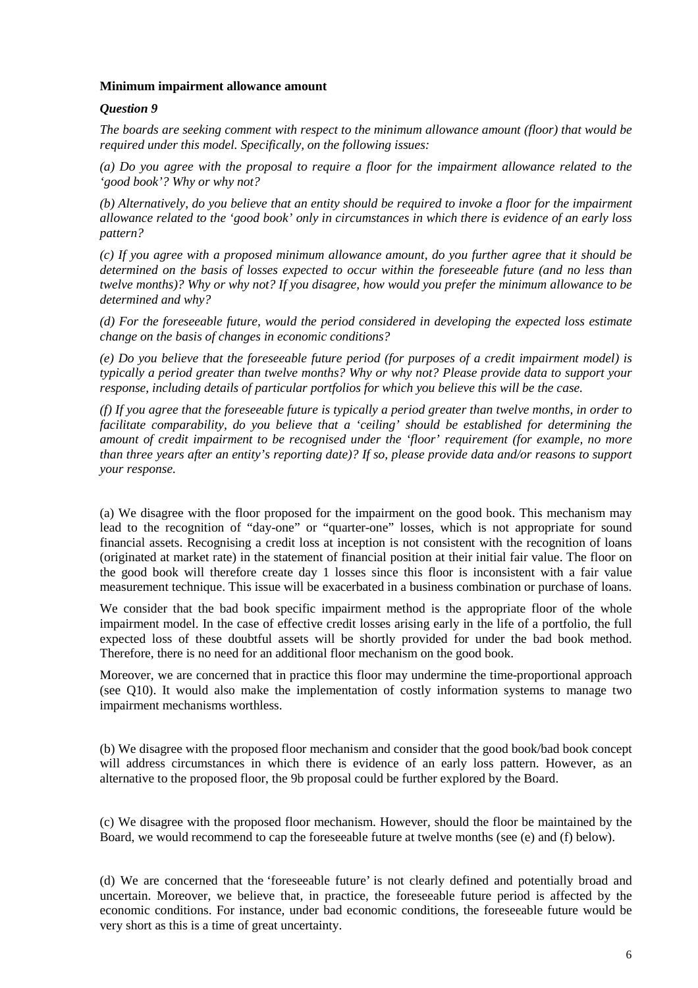#### **Minimum impairment allowance amount**

#### *Question 9*

*The boards are seeking comment with respect to the minimum allowance amount (floor) that would be required under this model. Specifically, on the following issues:* 

*(a) Do you agree with the proposal to require a floor for the impairment allowance related to the 'good book'? Why or why not?* 

*(b) Alternatively, do you believe that an entity should be required to invoke a floor for the impairment allowance related to the 'good book' only in circumstances in which there is evidence of an early loss pattern?* 

*(c) If you agree with a proposed minimum allowance amount, do you further agree that it should be determined on the basis of losses expected to occur within the foreseeable future (and no less than twelve months)? Why or why not? If you disagree, how would you prefer the minimum allowance to be determined and why?* 

*(d) For the foreseeable future, would the period considered in developing the expected loss estimate change on the basis of changes in economic conditions?* 

*(e) Do you believe that the foreseeable future period (for purposes of a credit impairment model) is typically a period greater than twelve months? Why or why not? Please provide data to support your response, including details of particular portfolios for which you believe this will be the case.* 

*(f) If you agree that the foreseeable future is typically a period greater than twelve months, in order to facilitate comparability, do you believe that a 'ceiling' should be established for determining the amount of credit impairment to be recognised under the 'floor' requirement (for example, no more than three years after an entity's reporting date)? If so, please provide data and/or reasons to support your response.* 

(a) We disagree with the floor proposed for the impairment on the good book. This mechanism may lead to the recognition of "day-one" or "quarter-one" losses, which is not appropriate for sound financial assets. Recognising a credit loss at inception is not consistent with the recognition of loans (originated at market rate) in the statement of financial position at their initial fair value. The floor on the good book will therefore create day 1 losses since this floor is inconsistent with a fair value measurement technique. This issue will be exacerbated in a business combination or purchase of loans.

We consider that the bad book specific impairment method is the appropriate floor of the whole impairment model. In the case of effective credit losses arising early in the life of a portfolio, the full expected loss of these doubtful assets will be shortly provided for under the bad book method. Therefore, there is no need for an additional floor mechanism on the good book.

Moreover, we are concerned that in practice this floor may undermine the time-proportional approach (see Q10). It would also make the implementation of costly information systems to manage two impairment mechanisms worthless.

(b) We disagree with the proposed floor mechanism and consider that the good book/bad book concept will address circumstances in which there is evidence of an early loss pattern. However, as an alternative to the proposed floor, the 9b proposal could be further explored by the Board.

(c) We disagree with the proposed floor mechanism. However, should the floor be maintained by the Board, we would recommend to cap the foreseeable future at twelve months (see (e) and (f) below).

(d) We are concerned that the 'foreseeable future' is not clearly defined and potentially broad and uncertain. Moreover, we believe that, in practice, the foreseeable future period is affected by the economic conditions. For instance, under bad economic conditions, the foreseeable future would be very short as this is a time of great uncertainty.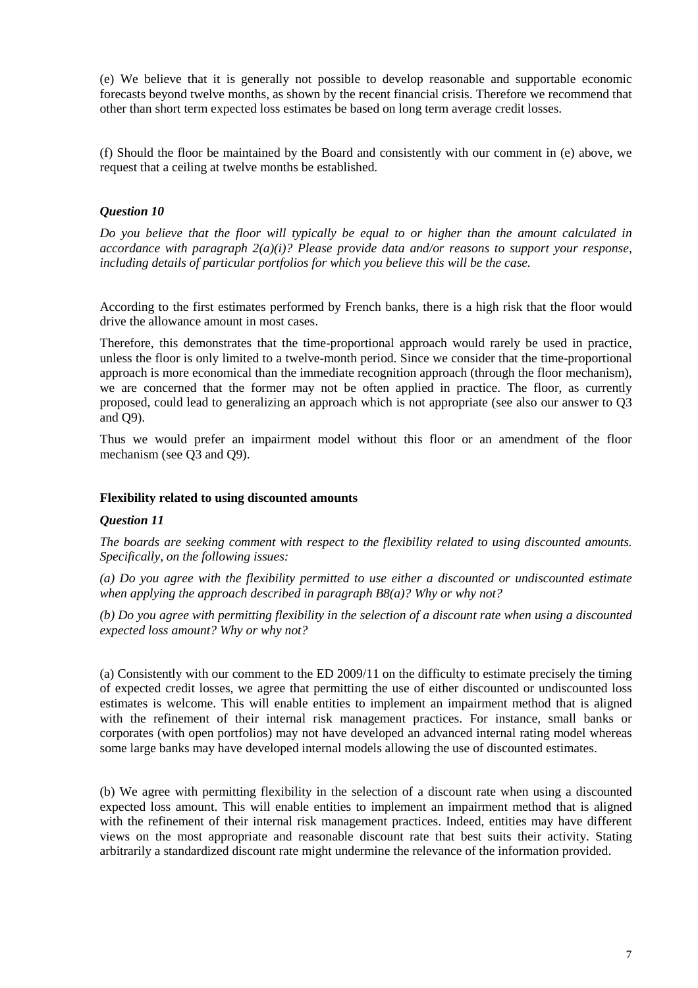(e) We believe that it is generally not possible to develop reasonable and supportable economic forecasts beyond twelve months, as shown by the recent financial crisis. Therefore we recommend that other than short term expected loss estimates be based on long term average credit losses.

(f) Should the floor be maintained by the Board and consistently with our comment in (e) above, we request that a ceiling at twelve months be established.

## *Question 10*

*Do you believe that the floor will typically be equal to or higher than the amount calculated in accordance with paragraph 2(a)(i)? Please provide data and/or reasons to support your response, including details of particular portfolios for which you believe this will be the case.* 

According to the first estimates performed by French banks, there is a high risk that the floor would drive the allowance amount in most cases.

Therefore, this demonstrates that the time-proportional approach would rarely be used in practice, unless the floor is only limited to a twelve-month period. Since we consider that the time-proportional approach is more economical than the immediate recognition approach (through the floor mechanism), we are concerned that the former may not be often applied in practice. The floor, as currently proposed, could lead to generalizing an approach which is not appropriate (see also our answer to Q3 and Q9).

Thus we would prefer an impairment model without this floor or an amendment of the floor mechanism (see Q3 and Q9).

### **Flexibility related to using discounted amounts**

### *Question 11*

*The boards are seeking comment with respect to the flexibility related to using discounted amounts. Specifically, on the following issues:* 

*(a) Do you agree with the flexibility permitted to use either a discounted or undiscounted estimate when applying the approach described in paragraph B8(a)? Why or why not?* 

*(b) Do you agree with permitting flexibility in the selection of a discount rate when using a discounted expected loss amount? Why or why not?* 

(a) Consistently with our comment to the ED 2009/11 on the difficulty to estimate precisely the timing of expected credit losses, we agree that permitting the use of either discounted or undiscounted loss estimates is welcome. This will enable entities to implement an impairment method that is aligned with the refinement of their internal risk management practices. For instance, small banks or corporates (with open portfolios) may not have developed an advanced internal rating model whereas some large banks may have developed internal models allowing the use of discounted estimates.

(b) We agree with permitting flexibility in the selection of a discount rate when using a discounted expected loss amount. This will enable entities to implement an impairment method that is aligned with the refinement of their internal risk management practices. Indeed, entities may have different views on the most appropriate and reasonable discount rate that best suits their activity. Stating arbitrarily a standardized discount rate might undermine the relevance of the information provided.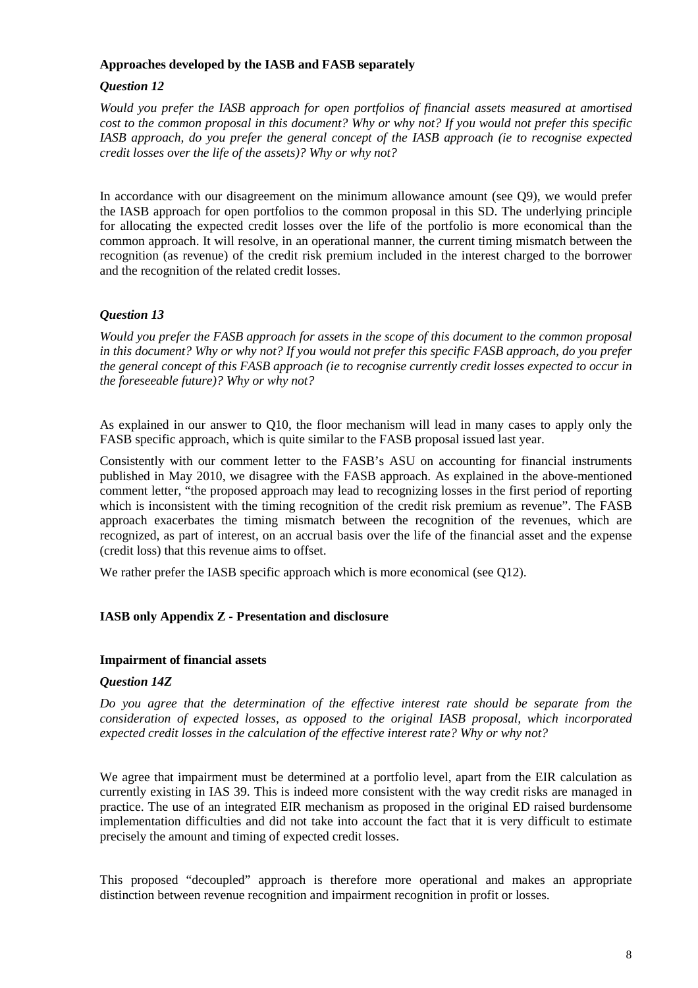### **Approaches developed by the IASB and FASB separately**

# *Question 12*

*Would you prefer the IASB approach for open portfolios of financial assets measured at amortised cost to the common proposal in this document? Why or why not? If you would not prefer this specific IASB approach, do you prefer the general concept of the IASB approach (ie to recognise expected credit losses over the life of the assets)? Why or why not?* 

In accordance with our disagreement on the minimum allowance amount (see Q9), we would prefer the IASB approach for open portfolios to the common proposal in this SD. The underlying principle for allocating the expected credit losses over the life of the portfolio is more economical than the common approach. It will resolve, in an operational manner, the current timing mismatch between the recognition (as revenue) of the credit risk premium included in the interest charged to the borrower and the recognition of the related credit losses.

# *Question 13*

*Would you prefer the FASB approach for assets in the scope of this document to the common proposal in this document? Why or why not? If you would not prefer this specific FASB approach, do you prefer the general concept of this FASB approach (ie to recognise currently credit losses expected to occur in the foreseeable future)? Why or why not?* 

As explained in our answer to Q10, the floor mechanism will lead in many cases to apply only the FASB specific approach, which is quite similar to the FASB proposal issued last year.

Consistently with our comment letter to the FASB's ASU on accounting for financial instruments published in May 2010, we disagree with the FASB approach. As explained in the above-mentioned comment letter, "the proposed approach may lead to recognizing losses in the first period of reporting which is inconsistent with the timing recognition of the credit risk premium as revenue". The FASB approach exacerbates the timing mismatch between the recognition of the revenues, which are recognized, as part of interest, on an accrual basis over the life of the financial asset and the expense (credit loss) that this revenue aims to offset.

We rather prefer the IASB specific approach which is more economical (see O12).

# **IASB only Appendix Z - Presentation and disclosure**

## **Impairment of financial assets**

### *Question 14Z*

*Do you agree that the determination of the effective interest rate should be separate from the consideration of expected losses, as opposed to the original IASB proposal, which incorporated expected credit losses in the calculation of the effective interest rate? Why or why not?* 

We agree that impairment must be determined at a portfolio level, apart from the EIR calculation as currently existing in IAS 39. This is indeed more consistent with the way credit risks are managed in practice. The use of an integrated EIR mechanism as proposed in the original ED raised burdensome implementation difficulties and did not take into account the fact that it is very difficult to estimate precisely the amount and timing of expected credit losses.

This proposed "decoupled" approach is therefore more operational and makes an appropriate distinction between revenue recognition and impairment recognition in profit or losses.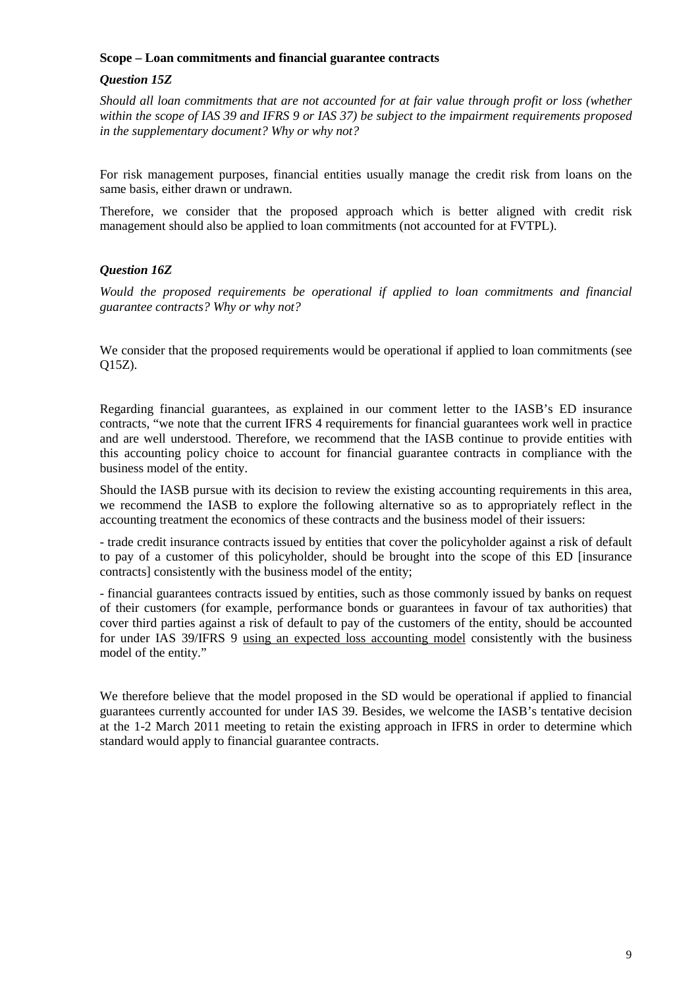### **Scope – Loan commitments and financial guarantee contracts**

## *Question 15Z*

*Should all loan commitments that are not accounted for at fair value through profit or loss (whether within the scope of IAS 39 and IFRS 9 or IAS 37) be subject to the impairment requirements proposed in the supplementary document? Why or why not?* 

For risk management purposes, financial entities usually manage the credit risk from loans on the same basis, either drawn or undrawn.

Therefore, we consider that the proposed approach which is better aligned with credit risk management should also be applied to loan commitments (not accounted for at FVTPL).

## *Question 16Z*

*Would the proposed requirements be operational if applied to loan commitments and financial guarantee contracts? Why or why not?* 

We consider that the proposed requirements would be operational if applied to loan commitments (see Q15Z).

Regarding financial guarantees, as explained in our comment letter to the IASB's ED insurance contracts, "we note that the current IFRS 4 requirements for financial guarantees work well in practice and are well understood. Therefore, we recommend that the IASB continue to provide entities with this accounting policy choice to account for financial guarantee contracts in compliance with the business model of the entity.

Should the IASB pursue with its decision to review the existing accounting requirements in this area, we recommend the IASB to explore the following alternative so as to appropriately reflect in the accounting treatment the economics of these contracts and the business model of their issuers:

- trade credit insurance contracts issued by entities that cover the policyholder against a risk of default to pay of a customer of this policyholder, should be brought into the scope of this ED [insurance contracts] consistently with the business model of the entity;

- financial guarantees contracts issued by entities, such as those commonly issued by banks on request of their customers (for example, performance bonds or guarantees in favour of tax authorities) that cover third parties against a risk of default to pay of the customers of the entity, should be accounted for under IAS 39/IFRS 9 using an expected loss accounting model consistently with the business model of the entity."

We therefore believe that the model proposed in the SD would be operational if applied to financial guarantees currently accounted for under IAS 39. Besides, we welcome the IASB's tentative decision at the 1-2 March 2011 meeting to retain the existing approach in IFRS in order to determine which standard would apply to financial guarantee contracts.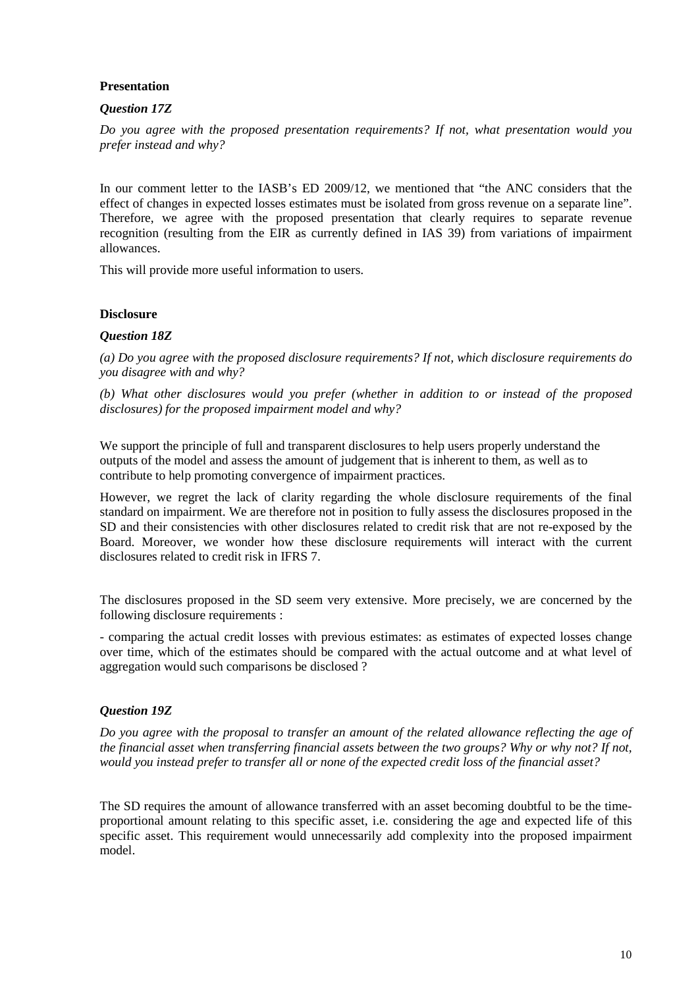## **Presentation**

## *Question 17Z*

*Do you agree with the proposed presentation requirements? If not, what presentation would you prefer instead and why?* 

In our comment letter to the IASB's ED 2009/12, we mentioned that "the ANC considers that the effect of changes in expected losses estimates must be isolated from gross revenue on a separate line". Therefore, we agree with the proposed presentation that clearly requires to separate revenue recognition (resulting from the EIR as currently defined in IAS 39) from variations of impairment allowances.

This will provide more useful information to users.

### **Disclosure**

## *Question 18Z*

*(a) Do you agree with the proposed disclosure requirements? If not, which disclosure requirements do you disagree with and why?* 

*(b) What other disclosures would you prefer (whether in addition to or instead of the proposed disclosures) for the proposed impairment model and why?* 

We support the principle of full and transparent disclosures to help users properly understand the outputs of the model and assess the amount of judgement that is inherent to them, as well as to contribute to help promoting convergence of impairment practices.

However, we regret the lack of clarity regarding the whole disclosure requirements of the final standard on impairment. We are therefore not in position to fully assess the disclosures proposed in the SD and their consistencies with other disclosures related to credit risk that are not re-exposed by the Board. Moreover, we wonder how these disclosure requirements will interact with the current disclosures related to credit risk in IFRS 7.

The disclosures proposed in the SD seem very extensive. More precisely, we are concerned by the following disclosure requirements :

- comparing the actual credit losses with previous estimates: as estimates of expected losses change over time, which of the estimates should be compared with the actual outcome and at what level of aggregation would such comparisons be disclosed ?

### *Question 19Z*

*Do you agree with the proposal to transfer an amount of the related allowance reflecting the age of the financial asset when transferring financial assets between the two groups? Why or why not? If not, would you instead prefer to transfer all or none of the expected credit loss of the financial asset?* 

The SD requires the amount of allowance transferred with an asset becoming doubtful to be the timeproportional amount relating to this specific asset, i.e. considering the age and expected life of this specific asset. This requirement would unnecessarily add complexity into the proposed impairment model.